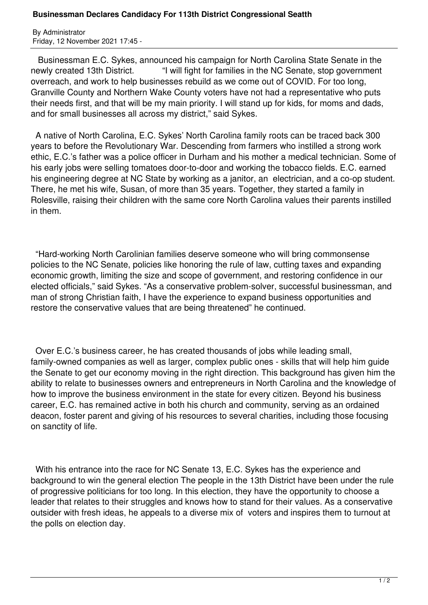## **Businessman Declares Candidacy For 113th District Congressional Seatth**

By Administrator Friday, 12 November 2021 17:45 -

 Businessman E.C. Sykes, announced his campaign for North Carolina State Senate in the newly created 13th District. "I will fight for families in the NC Senate, stop government overreach, and work to help businesses rebuild as we come out of COVID. For too long, Granville County and Northern Wake County voters have not had a representative who puts their needs first, and that will be my main priority. I will stand up for kids, for moms and dads, and for small businesses all across my district," said Sykes.

 A native of North Carolina, E.C. Sykes' North Carolina family roots can be traced back 300 years to before the Revolutionary War. Descending from farmers who instilled a strong work ethic, E.C.'s father was a police officer in Durham and his mother a medical technician. Some of his early jobs were selling tomatoes door-to-door and working the tobacco fields. E.C. earned his engineering degree at NC State by working as a janitor, an electrician, and a co-op student. There, he met his wife, Susan, of more than 35 years. Together, they started a family in Rolesville, raising their children with the same core North Carolina values their parents instilled in them.

 "Hard-working North Carolinian families deserve someone who will bring commonsense policies to the NC Senate, policies like honoring the rule of law, cutting taxes and expanding economic growth, limiting the size and scope of government, and restoring confidence in our elected officials," said Sykes. "As a conservative problem-solver, successful businessman, and man of strong Christian faith, I have the experience to expand business opportunities and restore the conservative values that are being threatened" he continued.

 Over E.C.'s business career, he has created thousands of jobs while leading small, family-owned companies as well as larger, complex public ones - skills that will help him guide the Senate to get our economy moving in the right direction. This background has given him the ability to relate to businesses owners and entrepreneurs in North Carolina and the knowledge of how to improve the business environment in the state for every citizen. Beyond his business career, E.C. has remained active in both his church and community, serving as an ordained deacon, foster parent and giving of his resources to several charities, including those focusing on sanctity of life.

 With his entrance into the race for NC Senate 13, E.C. Sykes has the experience and background to win the general election The people in the 13th District have been under the rule of progressive politicians for too long. In this election, they have the opportunity to choose a leader that relates to their struggles and knows how to stand for their values. As a conservative outsider with fresh ideas, he appeals to a diverse mix of voters and inspires them to turnout at the polls on election day.